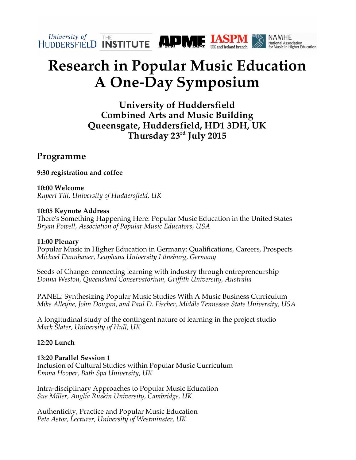

# **Research in Popular Music Education A One-Day Symposium**

**University of Huddersfield Combined Arts and Music Building Queensgate, Huddersfield, HD1 3DH, UK Thursday 23rd July 2015**

# **Programme**

**9:30 registration and coffee** 

**10:00 Welcome**  *Rupert Till, University of Huddersfield, UK*

### **10:05 Keynote Address**

There's Something Happening Here: Popular Music Education in the United States *Bryan Powell, Association of Popular Music Educators, USA*

# **11:00 Plenary**

Popular Music in Higher Education in Germany: Qualifications, Careers, Prospects *Michael Dannhauer, Leuphana University Lüneburg, Germany*

Seeds of Change: connecting learning with industry through entrepreneurship *Donna Weston, Queensland Conservatorium, Griffith University, Australia*

PANEL: Synthesizing Popular Music Studies With A Music Business Curriculum *Mike Alleyne, John Dougan, and Paul D. Fischer, Middle Tennessee State University, USA*

A longitudinal study of the contingent nature of learning in the project studio *Mark Slater, University of Hull, UK*

# **12:20 Lunch**

**13:20 Parallel Session 1** Inclusion of Cultural Studies within Popular Music Curriculum *Emma Hooper, Bath Spa University, UK*

Intra-disciplinary Approaches to Popular Music Education *Sue Miller, Anglia Ruskin University, Cambridge, UK*

Authenticity, Practice and Popular Music Education *Pete Astor, Lecturer, University of Westminster, UK*